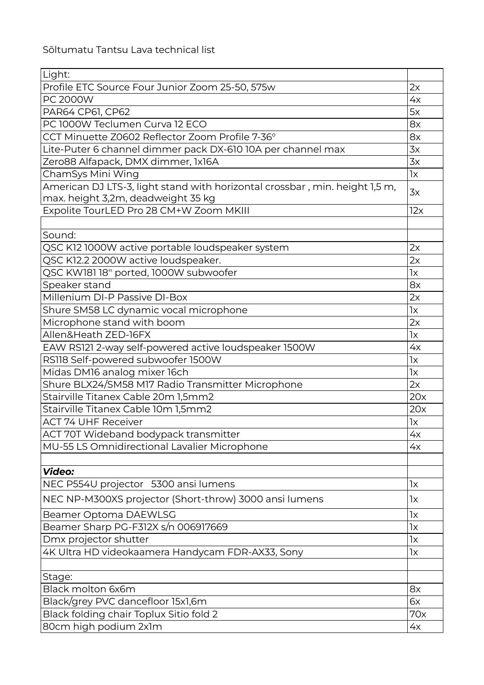| Light:                                                                                                            |     |
|-------------------------------------------------------------------------------------------------------------------|-----|
| Profile ETC Source Four Junior Zoom 25-50, 575w                                                                   | 2x  |
| PC 2000W                                                                                                          | 4x  |
| PAR64 CP61, CP62                                                                                                  | 5x  |
| PC 1000W Teclumen Curva 12 ECO                                                                                    | 8x  |
| CCT Minuette Z0602 Reflector Zoom Profile 7-36°                                                                   | 8x  |
| Lite-Puter 6 channel dimmer pack DX-610 10A per channel max                                                       | 3x  |
| Zero88 Alfapack, DMX dimmer, 1x16A                                                                                | 3x  |
| ChamSys Mini Wing                                                                                                 | 1x  |
| American DJ LTS-3, light stand with horizontal crossbar, min. height 1,5 m,<br>max. height 3,2m, deadweight 35 kg | 3x  |
| Expolite TourLED Pro 28 CM+W Zoom MKIII                                                                           | 12x |
|                                                                                                                   |     |
| Sound:                                                                                                            |     |
| QSC K12 1000W active portable loudspeaker system                                                                  | 2x  |
| QSC K12.2 2000W active loudspeaker.                                                                               | 2x  |
| QSC KW181 18" ported, 1000W subwoofer                                                                             | 1x  |
| Speaker stand                                                                                                     | 8x  |
| Millenium DI-P Passive DI-Box                                                                                     | 2x  |
| Shure SM58 LC dynamic vocal microphone                                                                            | 1x  |
| Microphone stand with boom                                                                                        | 2x  |
| Allen&Heath ZED-16FX                                                                                              | 1x  |
| EAW RS121 2-way self-powered active loudspeaker 1500W                                                             | 4x  |
| RS118 Self-powered subwoofer 1500W                                                                                | 1x  |
| Midas DM16 analog mixer 16ch                                                                                      | 1x  |
| Shure BLX24/SM58 M17 Radio Transmitter Microphone                                                                 | 2x  |
| Stairville Titanex Cable 20m 1,5mm2                                                                               | 20x |
| Stairville Titanex Cable 10m 1,5mm2                                                                               | 20x |
| <b>ACT 74 UHF Receiver</b>                                                                                        | 1x  |
| <b>ACT 70T Wideband bodypack transmitter</b>                                                                      | 4x  |
| MU-55 LS Omnidirectional Lavalier Microphone                                                                      | 4x  |
|                                                                                                                   |     |
| Video:                                                                                                            |     |
| NEC P554U projector 5300 ansi lumens                                                                              | 1x  |
| NEC NP-M300XS projector (Short-throw) 3000 ansi lumens                                                            | 1x  |
| Beamer Optoma DAEWLSG                                                                                             | 1x  |
| Beamer Sharp PG-F312X s/n 006917669                                                                               | 1x  |
| Dmx projector shutter                                                                                             | 1x  |
| 4K Ultra HD videokaamera Handycam FDR-AX33, Sony                                                                  | 1x  |
|                                                                                                                   |     |
| Stage:                                                                                                            |     |
| <b>Black molton 6x6m</b>                                                                                          | 8x  |
| Black/grey PVC dancefloor 15x1,6m                                                                                 | 6x  |
| Black folding chair Toplux Sitio fold 2                                                                           | 70x |
| 80cm high podium 2x1m                                                                                             | 4x  |